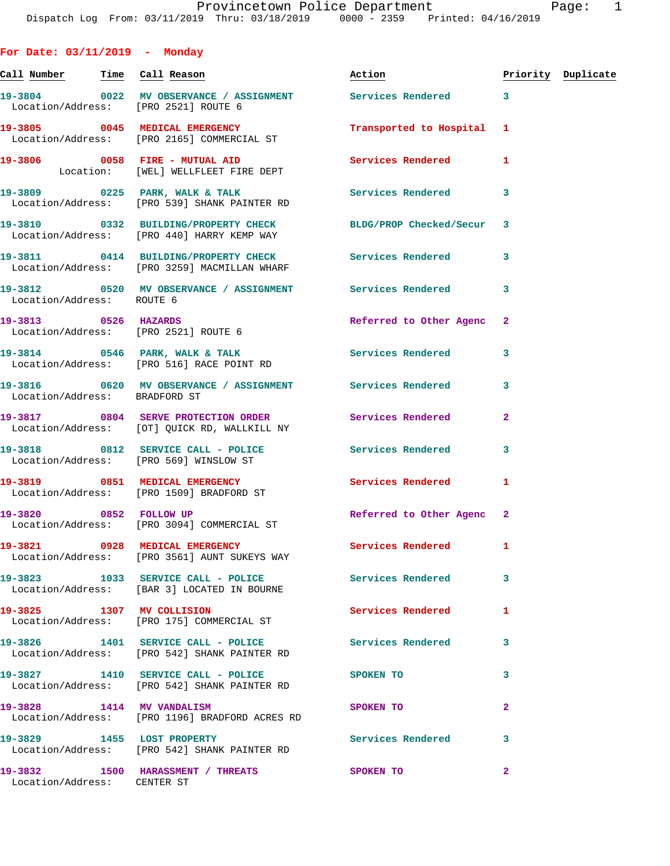**For Date: 03/11/2019 - Monday** Call Number Time Call Reason **Reason Action Action** Priority Duplicate **19-3804 0022 MV OBSERVANCE / ASSIGNMENT Services Rendered 3**  Location/Address: [PRO 2521] ROUTE 6 **19-3805 0045 MEDICAL EMERGENCY Transported to Hospital 1**  Location/Address: [PRO 2165] COMMERCIAL ST **19-3806 0058 FIRE - MUTUAL AID Services Rendered 1**  Location: [WEL] WELLFLEET FIRE DEPT **19-3809 0225 PARK, WALK & TALK Services Rendered 3**  Location/Address: [PRO 539] SHANK PAINTER RD **19-3810 0332 BUILDING/PROPERTY CHECK BLDG/PROP Checked/Secur 3**  Location/Address: [PRO 440] HARRY KEMP WAY **19-3811 0414 BUILDING/PROPERTY CHECK Services Rendered 3**  Location/Address: [PRO 3259] MACMILLAN WHARF **19-3812 0520 MV OBSERVANCE / ASSIGNMENT Services Rendered 3**  Location/Address: ROUTE 6 **19-3813 0526 HAZARDS Referred to Other Agenc 2**  Location/Address: [PRO 2521] ROUTE 6 **19-3814 0546 PARK, WALK & TALK Services Rendered 3**  Location/Address: [PRO 516] RACE POINT RD **19-3816 0620 MV OBSERVANCE / ASSIGNMENT Services Rendered 3**  Location/Address: BRADFORD ST **19-3817 0804 SERVE PROTECTION ORDER Services Rendered 2**  Location/Address: [OT] QUICK RD, WALLKILL NY **19-3818 0812 SERVICE CALL - POLICE Services Rendered 3**  Location/Address: [PRO 569] WINSLOW ST **19-3819 0851 MEDICAL EMERGENCY Services Rendered 1**  Location/Address: [PRO 1509] BRADFORD ST 19-3820 0852 FOLLOW UP Referred to Other Agenc 2 Location/Address: [PRO 3094] COMMERCIAL ST **19-3821 0928 MEDICAL EMERGENCY Services Rendered 1**  Location/Address: [PRO 3561] AUNT SUKEYS WAY **19-3823 1033 SERVICE CALL - POLICE Services Rendered 3**  Location/Address: [BAR 3] LOCATED IN BOURNE **19-3825 1307 MV COLLISION Services Rendered 1**  Location/Address: [PRO 175] COMMERCIAL ST **19-3826 1401 SERVICE CALL - POLICE Services Rendered 3**  Location/Address: [PRO 542] SHANK PAINTER RD **19-3827 1410 SERVICE CALL - POLICE SPOKEN TO 3**  Location/Address: [PRO 542] SHANK PAINTER RD **19-3828 1414 MV VANDALISM SPOKEN TO 2**  Location/Address: [PRO 1196] BRADFORD ACRES RD 19-3829 1455 LOST PROPERTY **19-3829** Services Rendered 3 Location/Address: [PRO 542] SHANK PAINTER RD **19-3832 1500 HARASSMENT / THREATS SPOKEN TO 2**  Location/Address: CENTER ST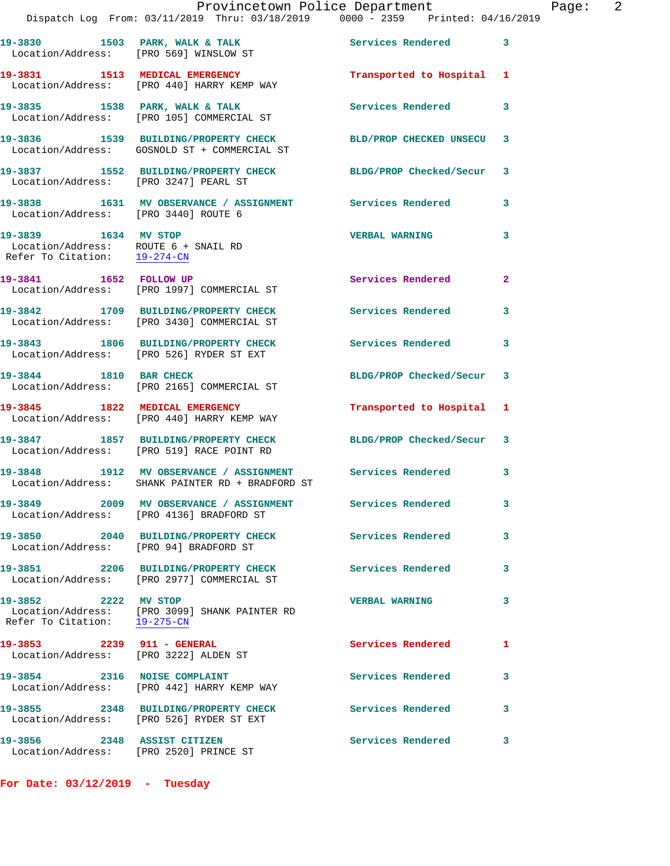|                                                                                              | Provincetown Police Department<br>Dispatch Log From: 03/11/2019 Thru: 03/18/2019 0000 - 2359 Printed: 04/16/2019 |                          |              |
|----------------------------------------------------------------------------------------------|------------------------------------------------------------------------------------------------------------------|--------------------------|--------------|
|                                                                                              | 19-3830 1503 PARK, WALK & TALK 1999 Services Rendered<br>Location/Address: [PRO 569] WINSLOW ST                  |                          | 3            |
|                                                                                              | 19-3831 1513 MEDICAL EMERGENCY<br>Location/Address: [PRO 440] HARRY KEMP WAY                                     | Transported to Hospital  | 1            |
|                                                                                              | 19-3835 1538 PARK, WALK & TALK<br>Location/Address: [PRO 105] COMMERCIAL ST                                      | Services Rendered        | 3            |
|                                                                                              | 19-3836 1539 BUILDING/PROPERTY CHECK BLD/PROP CHECKED UNSECU<br>Location/Address: GOSNOLD ST + COMMERCIAL ST     |                          | 3            |
| Location/Address: [PRO 3247] PEARL ST                                                        | 19-3837 1552 BUILDING/PROPERTY CHECK BLDG/PROP Checked/Secur                                                     |                          | 3            |
| Location/Address: [PRO 3440] ROUTE 6                                                         | 19-3838 1631 MV OBSERVANCE / ASSIGNMENT Services Rendered                                                        |                          | 3            |
| 19-3839 1634 MV STOP<br>Location/Address: ROUTE 6 + SNAIL RD<br>Refer To Citation: 19-274-CN |                                                                                                                  | <b>VERBAL WARNING</b>    | 3            |
| 19-3841 1652 FOLLOW UP                                                                       | Location/Address: [PRO 1997] COMMERCIAL ST                                                                       | Services Rendered        | $\mathbf{2}$ |
|                                                                                              | 19-3842 1709 BUILDING/PROPERTY CHECK<br>Location/Address: [PRO 3430] COMMERCIAL ST                               | <b>Services Rendered</b> | 3            |
|                                                                                              | 19-3843 1806 BUILDING/PROPERTY CHECK<br>Location/Address: [PRO 526] RYDER ST EXT                                 | <b>Services Rendered</b> | 3            |
| 19-3844 1810 BAR CHECK                                                                       | Location/Address: [PRO 2165] COMMERCIAL ST                                                                       | BLDG/PROP Checked/Secur  | 3            |
|                                                                                              | 19-3845 1822 MEDICAL EMERGENCY<br>Location/Address: [PRO 440] HARRY KEMP WAY                                     | Transported to Hospital  | 1            |
|                                                                                              | 19-3847 1857 BUILDING/PROPERTY CHECK BLDG/PROP Checked/Secur<br>Location/Address: [PRO 519] RACE POINT RD        |                          | 3            |
|                                                                                              | 19-3848 1912 MV OBSERVANCE / ASSIGNMENT Services Rendered<br>Location/Address: SHANK PAINTER RD + BRADFORD ST    |                          | 3            |
|                                                                                              | 19-3849 2009 MV OBSERVANCE / ASSIGNMENT Services Rendered<br>Location/Address: [PRO 4136] BRADFORD ST            |                          | 3            |
| Location/Address: [PRO 94] BRADFORD ST                                                       | 19-3850 2040 BUILDING/PROPERTY CHECK Services Rendered                                                           |                          | 3            |
|                                                                                              | 19-3851 2206 BUILDING/PROPERTY CHECK<br>Location/Address: [PRO 2977] COMMERCIAL ST                               | <b>Services Rendered</b> | 3            |
| 19-3852 2222 MV STOP<br>Refer To Citation: 19-275-CN                                         | Location/Address: [PRO 3099] SHANK PAINTER RD                                                                    | <b>VERBAL WARNING</b>    | 3            |
| 19-3853 2239 911 - GENERAL                                                                   | Location/Address: [PRO 3222] ALDEN ST                                                                            | Services Rendered        | 1            |
|                                                                                              | 19-3854 2316 NOISE COMPLAINT<br>Location/Address: [PRO 442] HARRY KEMP WAY                                       | <b>Services Rendered</b> | 3.           |
|                                                                                              | 19-3855 2348 BUILDING/PROPERTY CHECK<br>Location/Address: [PRO 526] RYDER ST EXT                                 | Services Rendered        | 3            |
| 19-3856 2348 ASSIST CITIZEN                                                                  |                                                                                                                  | <b>Services Rendered</b> | 3            |

**For Date: 03/12/2019 - Tuesday**

Location/Address: [PRO 2520] PRINCE ST

Page: 2<br>019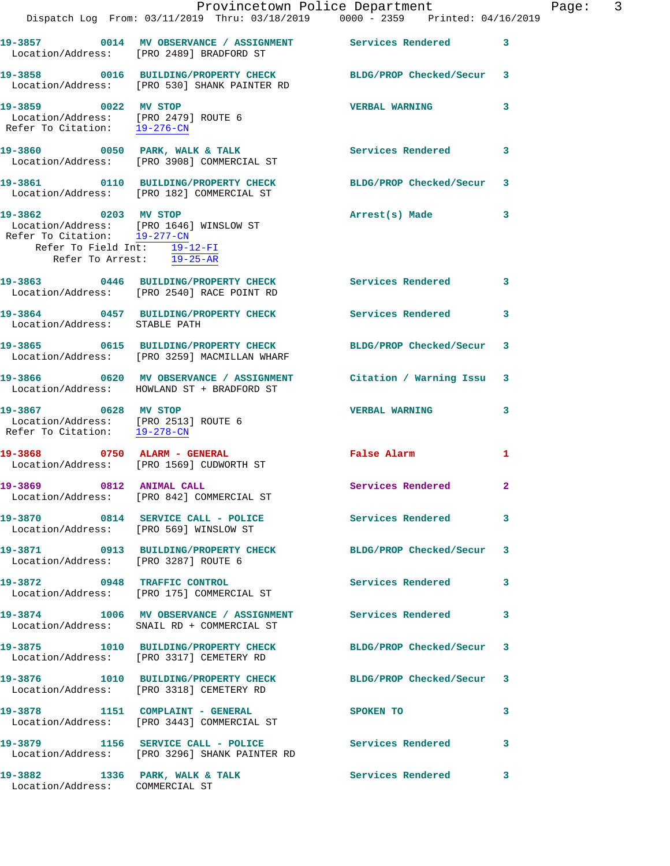|                                                                                              | Dispatch Log From: 03/11/2019 Thru: 03/18/2019 0000 - 2359 Printed: 04/16/2019                                  | Provincetown Police Department | Page: 3      |  |
|----------------------------------------------------------------------------------------------|-----------------------------------------------------------------------------------------------------------------|--------------------------------|--------------|--|
|                                                                                              | 19-3857 0014 MV OBSERVANCE / ASSIGNMENT Services Rendered 3                                                     |                                |              |  |
|                                                                                              | Location/Address: [PRO 2489] BRADFORD ST                                                                        |                                |              |  |
|                                                                                              | 19-3858 0016 BUILDING/PROPERTY CHECK BLDG/PROP Checked/Secur 3<br>Location/Address: [PRO 530] SHANK PAINTER RD  |                                |              |  |
| 19-3859 0022 MV STOP<br>Location/Address: [PRO 2479] ROUTE 6<br>Refer To Citation: 19-276-CN |                                                                                                                 | <b>VERBAL WARNING</b>          | 3            |  |
|                                                                                              | 19-3860 0050 PARK, WALK & TALK<br>Location/Address: [PRO 3908] COMMERCIAL ST                                    | Services Rendered 3            |              |  |
|                                                                                              | 19-3861 0110 BUILDING/PROPERTY CHECK BLDG/PROP Checked/Secur 3<br>Location/Address: [PRO 182] COMMERCIAL ST     |                                |              |  |
| Refer To Citation: 19-277-CN<br>Refer To Field Int: 19-12-FI                                 | 19-3862 0203 MV STOP<br>Location/Address: [PRO 1646] WINSLOW ST                                                 | Arrest(s) Made 3               |              |  |
| Refer To Arrest: 19-25-AR                                                                    |                                                                                                                 |                                |              |  |
|                                                                                              | 19-3863 0446 BUILDING/PROPERTY CHECK Services Rendered<br>Location/Address: [PRO 2540] RACE POINT RD            |                                | $\mathbf{3}$ |  |
| Location/Address: STABLE PATH                                                                | 19-3864 0457 BUILDING/PROPERTY CHECK Services Rendered 3                                                        |                                |              |  |
|                                                                                              | 19-3865 0615 BUILDING/PROPERTY CHECK<br>Location/Address: [PRO 3259] MACMILLAN WHARF                            | BLDG/PROP Checked/Secur 3      |              |  |
|                                                                                              | 19-3866 0620 MV OBSERVANCE / ASSIGNMENT Citation / Warning Issu 3<br>Location/Address: HOWLAND ST + BRADFORD ST |                                |              |  |
| 19-3867 0628 MV STOP<br>Location/Address: [PRO 2513] ROUTE 6<br>Refer To Citation: 19-278-CN |                                                                                                                 | <b>VERBAL WARNING</b>          | 3            |  |
|                                                                                              | 19-3868 0750 ALARM - GENERAL<br>Location/Address: [PRO 1569] CUDWORTH ST                                        | False Alarm                    | 1            |  |
| 19-3869 0812 ANIMAL CALL                                                                     | Location/Address: [PRO 842] COMMERCIAL ST                                                                       | Services Rendered 2            |              |  |
|                                                                                              | 19-3870 0814 SERVICE CALL - POLICE<br>Location/Address: [PRO 569] WINSLOW ST                                    | Services Rendered 3            |              |  |
| Location/Address: [PRO 3287] ROUTE 6                                                         | 19-3871 0913 BUILDING/PROPERTY CHECK BLDG/PROP Checked/Secur 3                                                  |                                |              |  |
|                                                                                              | 19-3872 0948 TRAFFIC CONTROL<br>Location/Address: [PRO 175] COMMERCIAL ST                                       | Services Rendered 3            |              |  |
|                                                                                              | 19-3874 1006 MV OBSERVANCE / ASSIGNMENT Services Rendered<br>Location/Address: SNAIL RD + COMMERCIAL ST         |                                | 3            |  |
|                                                                                              | 19-3875 1010 BUILDING/PROPERTY CHECK BLDG/PROP Checked/Secur 3<br>Location/Address: [PRO 3317] CEMETERY RD      |                                |              |  |
|                                                                                              | 19-3876 1010 BUILDING/PROPERTY CHECK BLDG/PROP Checked/Secur 3<br>Location/Address: [PRO 3318] CEMETERY RD      |                                |              |  |
|                                                                                              | 19-3878 1151 COMPLAINT - GENERAL SPOKEN TO<br>Location/Address: [PRO 3443] COMMERCIAL ST                        |                                | 3            |  |
|                                                                                              | 19-3879 1156 SERVICE CALL - POLICE 3 Services Rendered 3<br>Location/Address: [PRO 3296] SHANK PAINTER RD       |                                |              |  |
| 19-3882 1336 PARK, WALK & TALK<br>Location/Address: COMMERCIAL ST                            |                                                                                                                 | Services Rendered              | 3            |  |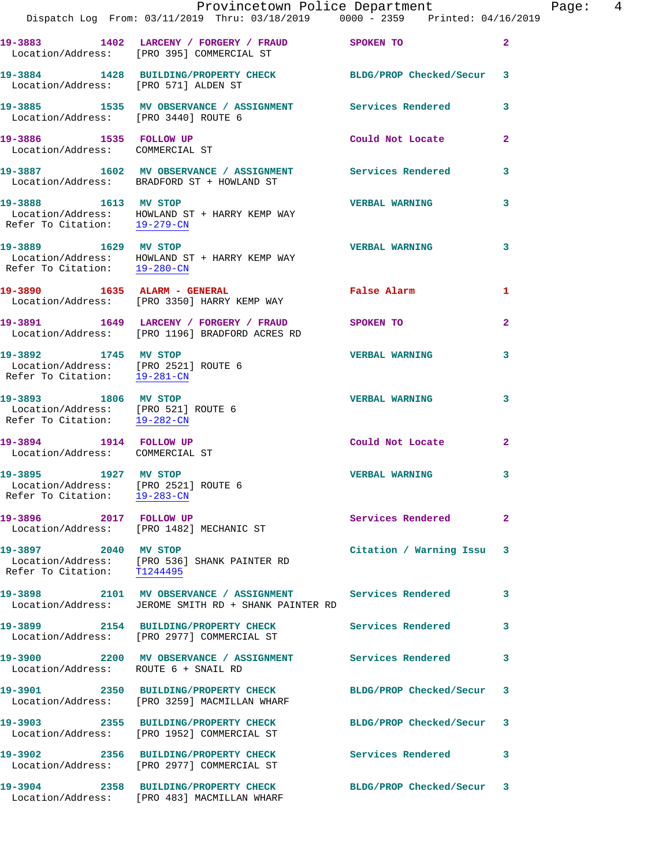|                                                                                              | Dispatch Log From: 03/11/2019 Thru: 03/18/2019 0000 - 2359 Printed: 04/16/2019                                    | Provincetown Police Department |              | Page: 4 |  |
|----------------------------------------------------------------------------------------------|-------------------------------------------------------------------------------------------------------------------|--------------------------------|--------------|---------|--|
|                                                                                              | 19-3883 1402 LARCENY / FORGERY / FRAUD SPOKEN TO<br>Location/Address: [PRO 395] COMMERCIAL ST                     |                                | $\mathbf{2}$ |         |  |
| Location/Address: [PRO 571] ALDEN ST                                                         | 19-3884 1428 BUILDING/PROPERTY CHECK BLDG/PROP Checked/Secur 3                                                    |                                |              |         |  |
|                                                                                              | 19-3885     1535   MV OBSERVANCE / ASSIGNMENT      Services Rendered<br>Location/Address:   [PRO 3440]ROUTE 6     |                                | 3            |         |  |
| 19-3886 1535 FOLLOW UP<br>Location/Address: COMMERCIAL ST                                    |                                                                                                                   | Could Not Locate               | $\mathbf{2}$ |         |  |
|                                                                                              | 19-3887 1602 MV OBSERVANCE / ASSIGNMENT Services Rendered<br>Location/Address: BRADFORD ST + HOWLAND ST           |                                | $\mathbf{3}$ |         |  |
| 19-3888 1613 MV STOP<br>Refer To Citation: 19-279-CN                                         | Location/Address: HOWLAND ST + HARRY KEMP WAY                                                                     | <b>VERBAL WARNING</b>          | 3            |         |  |
| 19-3889 1629 MV STOP<br>Refer To Citation: 19-280-CN                                         | Location/Address: HOWLAND ST + HARRY KEMP WAY                                                                     | <b>VERBAL WARNING</b>          | 3            |         |  |
|                                                                                              | 19-3890 1635 ALARM - GENERAL<br>Location/Address: [PRO 3350] HARRY KEMP WAY                                       | <b>False Alarm</b>             | 1            |         |  |
|                                                                                              | 19-3891 1649 LARCENY / FORGERY / FRAUD SPOKEN TO<br>Location/Address: [PRO 1196] BRADFORD ACRES RD                |                                | $\mathbf{2}$ |         |  |
| 19-3892 1745 MV STOP<br>Location/Address: [PRO 2521] ROUTE 6<br>Refer To Citation: 19-281-CN |                                                                                                                   | <b>VERBAL WARNING</b>          | 3            |         |  |
| 19-3893 1806 MV STOP<br>Location/Address: [PRO 521] ROUTE 6<br>Refer To Citation: 19-282-CN  |                                                                                                                   | <b>VERBAL WARNING</b>          | 3            |         |  |
| 19-3894 1914 FOLLOW UP<br>Location/Address: COMMERCIAL ST                                    |                                                                                                                   | Could Not Locate               | $\mathbf{2}$ |         |  |
| 19-3895 1927 MV STOP<br>Location/Address: [PRO 2521] ROUTE 6<br>Refer To Citation: 19-283-CN |                                                                                                                   | <b>VERBAL WARNING</b>          | 3            |         |  |
|                                                                                              | 19-3896 2017 FOLLOW UP<br>Location/Address: [PRO 1482] MECHANIC ST                                                | Services Rendered              | $\mathbf{2}$ |         |  |
| Refer To Citation: T1244495                                                                  | 19-3897 2040 MV STOP<br>Location/Address: [PRO 536] SHANK PAINTER RD                                              | Citation / Warning Issu 3      |              |         |  |
|                                                                                              | 19-3898 2101 MV OBSERVANCE / ASSIGNMENT Services Rendered<br>Location/Address: JEROME SMITH RD + SHANK PAINTER RD |                                | 3            |         |  |
|                                                                                              | 19-3899 2154 BUILDING/PROPERTY CHECK<br>Location/Address: [PRO 2977] COMMERCIAL ST                                | Services Rendered              | 3            |         |  |
| Location/Address: ROUTE 6 + SNAIL RD                                                         | 19-3900 2200 MV OBSERVANCE / ASSIGNMENT Services Rendered                                                         |                                | 3            |         |  |
|                                                                                              |                                                                                                                   | BLDG/PROP Checked/Secur 3      |              |         |  |
|                                                                                              | 19-3903 2355 BUILDING/PROPERTY CHECK BLDG/PROP Checked/Secur 3<br>Location/Address: [PRO 1952] COMMERCIAL ST      |                                |              |         |  |
|                                                                                              | 19-3902 2356 BUILDING/PROPERTY CHECK Services Rendered<br>Location/Address: [PRO 2977] COMMERCIAL ST              |                                | 3            |         |  |
|                                                                                              | 19-3904 2358 BUILDING/PROPERTY CHECK<br>Location/Address: [PRO 483] MACMILLAN WHARF                               | BLDG/PROP Checked/Secur 3      |              |         |  |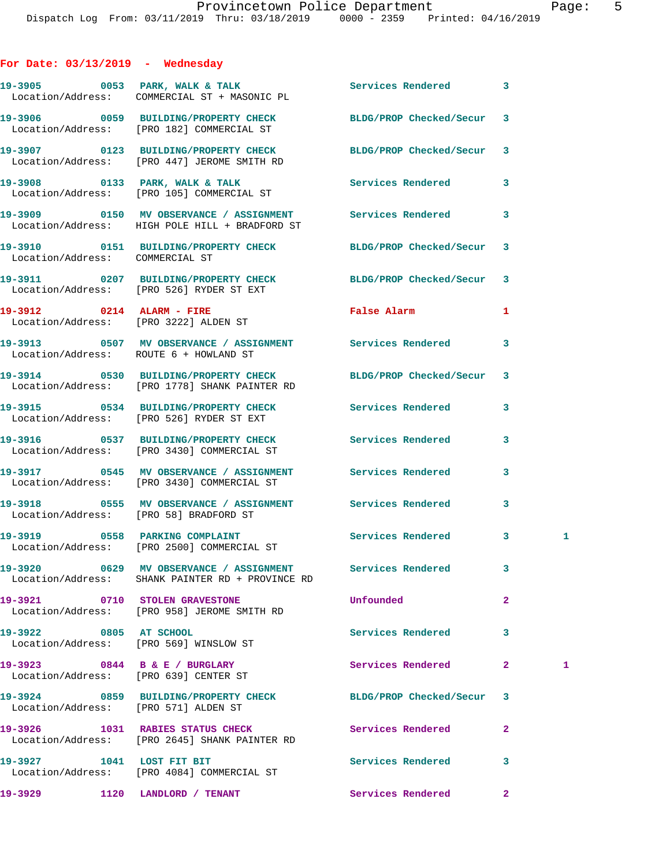## **For Date: 03/13/2019 - Wednesday**

|                                      | 19-3905 0053 PARK, WALK & TALK 1999 Services Rendered<br>Location/Address: COMMERCIAL ST + MASONIC PL                      |                          | 3              |              |
|--------------------------------------|----------------------------------------------------------------------------------------------------------------------------|--------------------------|----------------|--------------|
|                                      | 19-3906 0059 BUILDING/PROPERTY CHECK BLDG/PROP Checked/Secur 3<br>Location/Address: [PRO 182] COMMERCIAL ST                |                          |                |              |
|                                      | 19-3907 0123 BUILDING/PROPERTY CHECK BLDG/PROP Checked/Secur 3<br>Location/Address: [PRO 447] JEROME SMITH RD              |                          |                |              |
|                                      | 19-3908 0133 PARK, WALK & TALK<br>Location/Address: [PRO 105] COMMERCIAL ST                                                | Services Rendered        | 3              |              |
|                                      | 19-3909 0150 MV OBSERVANCE / ASSIGNMENT Services Rendered<br>Location/Address: HIGH POLE HILL + BRADFORD ST                |                          | 3              |              |
| Location/Address: COMMERCIAL ST      | 19-3910 0151 BUILDING/PROPERTY CHECK BLDG/PROP Checked/Secur                                                               |                          | 3              |              |
|                                      | 19-3911 0207 BUILDING/PROPERTY CHECK BLDG/PROP Checked/Secur<br>Location/Address: [PRO 526] RYDER ST EXT                   |                          | 3              |              |
|                                      | 19-3912 0214 ALARM - FIRE<br>Location/Address: [PRO 3222] ALDEN ST                                                         | False Alarm              | 1              |              |
|                                      | 19-3913 0507 MV OBSERVANCE / ASSIGNMENT Services Rendered<br>Location/Address: ROUTE 6 + HOWLAND ST                        |                          | 3              |              |
|                                      | 19-3914 0530 BUILDING/PROPERTY CHECK BLDG/PROP Checked/Secur 3<br>Location/Address: [PRO 1778] SHANK PAINTER RD            |                          |                |              |
|                                      | 19-3915 0534 BUILDING/PROPERTY CHECK Services Rendered<br>Location/Address: [PRO 526] RYDER ST EXT                         |                          | 3              |              |
|                                      | 19-3916 		 0537 BUILDING/PROPERTY CHECK 		 Services Rendered<br>Location/Address: [PRO 3430] COMMERCIAL ST                 |                          | 3              |              |
|                                      | 19-3917 0545 MV OBSERVANCE / ASSIGNMENT Services Rendered<br>Location/Address: [PRO 3430] COMMERCIAL ST                    |                          | 3              |              |
|                                      | 19-3918 		 0555 MV OBSERVANCE / ASSIGNMENT Services Rendered<br>Location/Address: [PRO 58] BRADFORD ST                     |                          | 3              |              |
|                                      | 19-3919 0558 PARKING COMPLAINT<br>Location/Address: [PRO 2500] COMMERCIAL ST                                               | Services Rendered        | 3 <sup>7</sup> | $\mathbf{1}$ |
|                                      | 19-3920       0629   MV OBSERVANCE / ASSIGNMENT      Services Rendered<br>Location/Address: SHANK PAINTER RD + PROVINCE RD |                          |                |              |
|                                      | 19-3921 0710 STOLEN GRAVESTONE<br>Location/Address: [PRO 958] JEROME SMITH RD                                              | Unfounded                | $\overline{2}$ |              |
| 19-3922 0805 AT SCHOOL               | Location/Address: [PRO 569] WINSLOW ST                                                                                     | <b>Services Rendered</b> | 3              |              |
|                                      | 19-3923 0844 B & E / BURGLARY<br>Location/Address: [PRO 639] CENTER ST                                                     | Services Rendered        | $\mathbf{2}$   | $\mathbf{1}$ |
| Location/Address: [PRO 571] ALDEN ST | 19-3924 0859 BUILDING/PROPERTY CHECK BLDG/PROP Checked/Secur                                                               |                          | 3              |              |
|                                      | 19-3926 1031 RABIES STATUS CHECK Services Rendered<br>Location/Address: [PRO 2645] SHANK PAINTER RD                        |                          | $\mathbf{2}$   |              |
| 19-3927 1041 LOST FIT BIT            | Location/Address: [PRO 4084] COMMERCIAL ST                                                                                 | Services Rendered        | 3              |              |
| 19-3929                              | 1120 LANDLORD / TENANT                                                                                                     | Services Rendered        | $\mathbf{2}$   |              |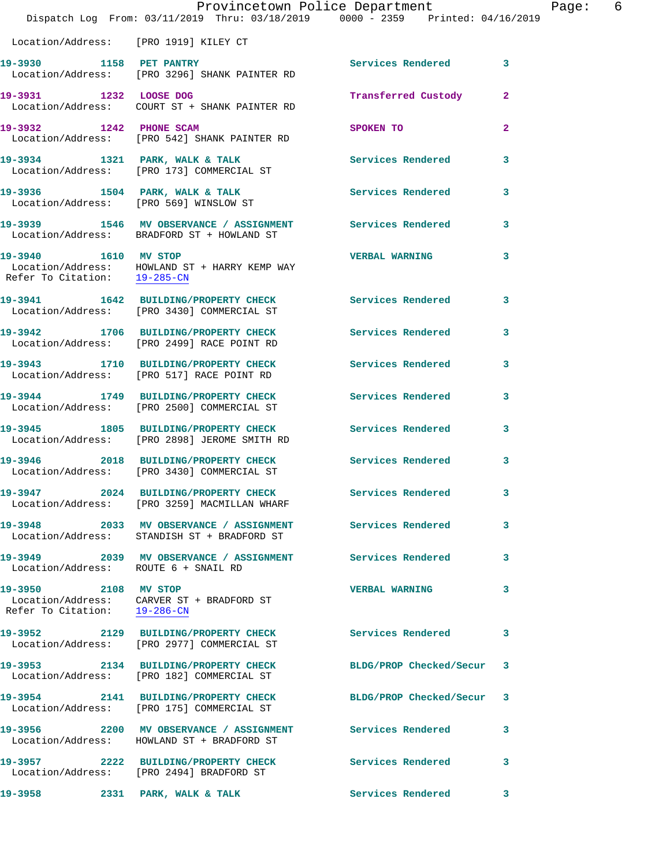|                                                      | Provincetown Police Department<br>Dispatch Log From: 03/11/2019 Thru: 03/18/2019 0000 - 2359 Printed: 04/16/2019 |                           |              | Page: 6 |  |
|------------------------------------------------------|------------------------------------------------------------------------------------------------------------------|---------------------------|--------------|---------|--|
| Location/Address: [PRO 1919] KILEY CT                |                                                                                                                  |                           |              |         |  |
| 19-3930 1158 PET PANTRY                              | Location/Address: [PRO 3296] SHANK PAINTER RD                                                                    | Services Rendered 3       |              |         |  |
|                                                      | 19-3931 1232 LOOSE DOG<br>Location/Address: COURT ST + SHANK PAINTER RD                                          | Transferred Custody 2     |              |         |  |
| 19-3932 1242 PHONE SCAM                              | Location/Address: [PRO 542] SHANK PAINTER RD                                                                     | SPOKEN TO                 | $\mathbf{2}$ |         |  |
|                                                      | 19-3934 1321 PARK, WALK & TALK 1998 Services Rendered<br>Location/Address: [PRO 173] COMMERCIAL ST               |                           | 3            |         |  |
|                                                      | 19-3936 1504 PARK, WALK & TALK 1998 Services Rendered<br>Location/Address: [PRO 569] WINSLOW ST                  |                           | 3            |         |  |
|                                                      |                                                                                                                  |                           | $\mathbf{3}$ |         |  |
| 19-3940 1610 MV STOP<br>Refer To Citation: 19-285-CN | Location/Address: HOWLAND ST + HARRY KEMP WAY                                                                    | <b>VERBAL WARNING</b>     | 3            |         |  |
|                                                      | 19-3941 1642 BUILDING/PROPERTY CHECK Services Rendered 3<br>Location/Address: [PRO 3430] COMMERCIAL ST           |                           |              |         |  |
|                                                      | 19-3942 1706 BUILDING/PROPERTY CHECK Services Rendered<br>Location/Address: [PRO 2499] RACE POINT RD             |                           | 3            |         |  |
|                                                      | 19-3943 1710 BUILDING/PROPERTY CHECK Services Rendered<br>Location/Address: [PRO 517] RACE POINT RD              |                           | 3            |         |  |
|                                                      | 19-3944 1749 BUILDING/PROPERTY CHECK<br>Location/Address: [PRO 2500] COMMERCIAL ST                               | Services Rendered         | 3            |         |  |
|                                                      | 19-3945 1805 BUILDING/PROPERTY CHECK Services Rendered<br>Location/Address: [PRO 2898] JEROME SMITH RD           |                           | $\mathbf{3}$ |         |  |
|                                                      | 19-3946 2018 BUILDING/PROPERTY CHECK Services Rendered<br>Location/Address: [PRO 3430] COMMERCIAL ST             |                           | $\mathbf{3}$ |         |  |
|                                                      | 19-3947 2024 BUILDING/PROPERTY CHECK<br>Location/Address: [PRO 3259] MACMILLAN WHARF                             | <b>Services Rendered</b>  |              |         |  |
|                                                      | 19-3948 2033 MV OBSERVANCE / ASSIGNMENT Services Rendered<br>Location/Address: STANDISH ST + BRADFORD ST         |                           | 3            |         |  |
| Location/Address: ROUTE 6 + SNAIL RD                 |                                                                                                                  |                           | 3            |         |  |
| 19-3950 2108 MV STOP<br>Refer To Citation: 19-286-CN | Location/Address: CARVER ST + BRADFORD ST                                                                        | <b>VERBAL WARNING</b>     | 3            |         |  |
|                                                      | 19-3952 2129 BUILDING/PROPERTY CHECK Services Rendered<br>Location/Address: [PRO 2977] COMMERCIAL ST             |                           | 3            |         |  |
|                                                      | 19-3953 2134 BUILDING/PROPERTY CHECK<br>Location/Address: [PRO 182] COMMERCIAL ST                                | BLDG/PROP Checked/Secur 3 |              |         |  |
|                                                      | 19-3954 2141 BUILDING/PROPERTY CHECK BLDG/PROP Checked/Secur 3<br>Location/Address: [PRO 175] COMMERCIAL ST      |                           |              |         |  |
|                                                      | 19-3956 2200 MV OBSERVANCE / ASSIGNMENT Services Rendered<br>Location/Address: HOWLAND ST + BRADFORD ST          |                           | 3            |         |  |
|                                                      | 19-3957 2222 BUILDING/PROPERTY CHECK Services Rendered<br>Location/Address: [PRO 2494] BRADFORD ST               |                           | 3            |         |  |
|                                                      |                                                                                                                  |                           |              |         |  |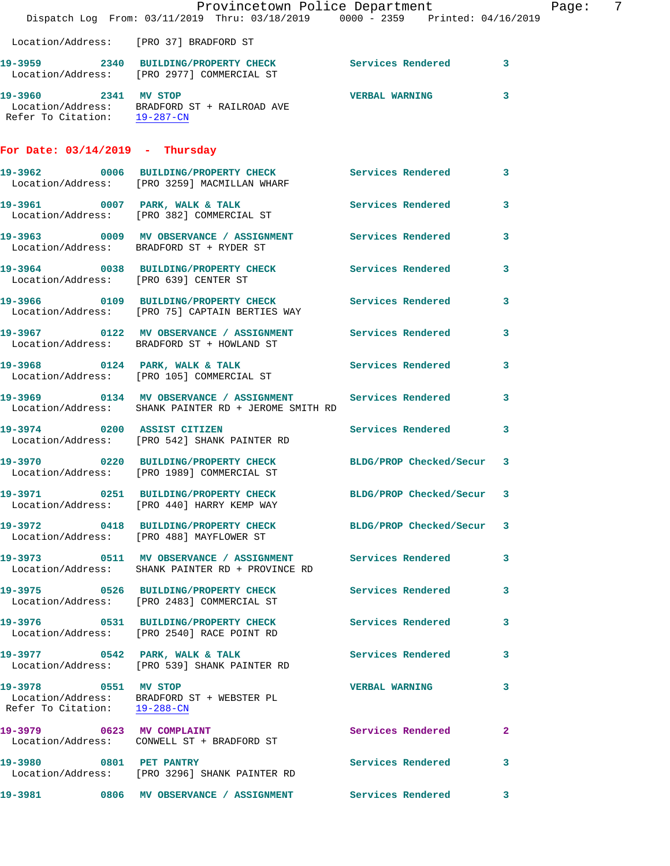|                                        | Provincetown Police Department                                                                                                                                                   |                           |              | Page: | 7 |
|----------------------------------------|----------------------------------------------------------------------------------------------------------------------------------------------------------------------------------|---------------------------|--------------|-------|---|
|                                        | Dispatch Log From: 03/11/2019 Thru: 03/18/2019 0000 - 2359 Printed: 04/16/2019                                                                                                   |                           |              |       |   |
| Location/Address: [PRO 37] BRADFORD ST |                                                                                                                                                                                  |                           |              |       |   |
|                                        | 19-3959 2340 BUILDING/PROPERTY CHECK Services Rendered 3<br>Location/Address: [PRO 2977] COMMERCIAL ST                                                                           |                           |              |       |   |
|                                        | 19-3960 2341 MV STOP<br>$\begin{tabular}{ll} \texttt{Location/Address:} & \texttt{BRAPFORD ST + RAILROAD AVE} \\ \texttt{Refer To Citation:} & \texttt{19-287-CN} \end{tabular}$ | <b>VERBAL WARNING</b>     | 3            |       |   |
| For Date: $03/14/2019$ - Thursday      |                                                                                                                                                                                  |                           |              |       |   |
|                                        | 19-3962 0006 BUILDING/PROPERTY CHECK Services Rendered 3<br>Location/Address: [PRO 3259] MACMILLAN WHARF                                                                         |                           |              |       |   |
|                                        | 19-3961 0007 PARK, WALK & TALK<br>Location/Address: [PRO 382] COMMERCIAL ST                                                                                                      | Services Rendered         | 3            |       |   |
|                                        | 19-3963 0009 MV OBSERVANCE / ASSIGNMENT Services Rendered<br>Location/Address: BRADFORD ST + RYDER ST                                                                            |                           | 3            |       |   |
| Location/Address: [PRO 639] CENTER ST  | 19-3964 0038 BUILDING/PROPERTY CHECK Services Rendered                                                                                                                           |                           | 3            |       |   |
|                                        | 19-3966 0109 BUILDING/PROPERTY CHECK Services Rendered<br>Location/Address: [PRO 75] CAPTAIN BERTIES WAY                                                                         |                           | $\mathbf{3}$ |       |   |
|                                        | 19-3967 0122 MV OBSERVANCE / ASSIGNMENT Services Rendered<br>Location/Address: BRADFORD ST + HOWLAND ST                                                                          |                           | 3            |       |   |
|                                        | 19-3968 0124 PARK, WALK & TALK<br>Location/Address: [PRO 105] COMMERCIAL ST                                                                                                      | Services Rendered         | 3            |       |   |
|                                        | 19-3969 0134 MV OBSERVANCE / ASSIGNMENT Services Rendered<br>Location/Address: SHANK PAINTER RD + JEROME SMITH RD                                                                |                           | 3            |       |   |
| 19-3974 0200 ASSIST CITIZEN            | Location/Address: [PRO 542] SHANK PAINTER RD                                                                                                                                     | Services Rendered         | $\mathbf{3}$ |       |   |
|                                        | 19-3970 0220 BUILDING/PROPERTY CHECK BLDG/PROP Checked/Secur 3<br>Location/Address: [PRO 1989] COMMERCIAL ST                                                                     |                           |              |       |   |
|                                        | 19-3971 0251 BUILDING/PROPERTY CHECK<br>Location/Address: [PRO 440] HARRY KEMP WAY                                                                                               | BLDG/PROP Checked/Secur 3 |              |       |   |
|                                        | 19-3972 0418 BUILDING/PROPERTY CHECK BLDG/PROP Checked/Secur 3<br>Location/Address: [PRO 488] MAYFLOWER ST                                                                       |                           |              |       |   |
|                                        | 19-3973 0511 MV OBSERVANCE / ASSIGNMENT<br>Location/Address: SHANK PAINTER RD + PROVINCE RD                                                                                      | <b>Services Rendered</b>  | 3            |       |   |
|                                        | 19-3975 0526 BUILDING/PROPERTY CHECK<br>Location/Address: [PRO 2483] COMMERCIAL ST                                                                                               | Services Rendered         | 3            |       |   |
|                                        | 19-3976 0531 BUILDING/PROPERTY CHECK Services Rendered<br>Location/Address: [PRO 2540] RACE POINT RD                                                                             |                           | 3            |       |   |
|                                        | 19-3977 0542 PARK, WALK & TALK<br>Location/Address: [PRO 539] SHANK PAINTER RD                                                                                                   | <b>Services Rendered</b>  | 3            |       |   |
| 19-3978 0551 MV STOP                   | Location/Address: BRADFORD ST + WEBSTER PL<br>Refer To Citation: $19-288-CN$                                                                                                     | <b>VERBAL WARNING</b>     | 3            |       |   |
|                                        | 19-3979 0623 MV COMPLAINT<br>Location/Address: CONWELL ST + BRADFORD ST                                                                                                          | Services Rendered         | 2            |       |   |
| 19-3980 0801 PET PANTRY                | Location/Address: [PRO 3296] SHANK PAINTER RD                                                                                                                                    | Services Rendered         | 3            |       |   |
|                                        | 19-3981 6806 MV OBSERVANCE / ASSIGNMENT Services Rendered                                                                                                                        |                           | 3            |       |   |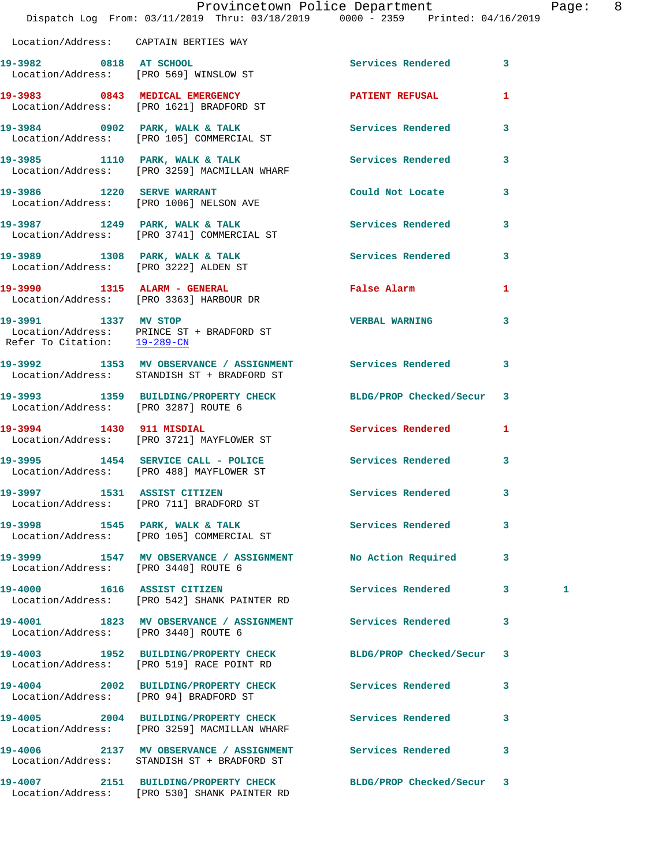|                                                      | Dispatch Log From: 03/11/2019 Thru: 03/18/2019 0000 - 2359 Printed: 04/16/2019                              | Provincetown Police Department |              | Page: 8 |  |
|------------------------------------------------------|-------------------------------------------------------------------------------------------------------------|--------------------------------|--------------|---------|--|
| Location/Address: CAPTAIN BERTIES WAY                |                                                                                                             |                                |              |         |  |
|                                                      | 19-3982 0818 AT SCHOOL<br>Location/Address: [PRO 569] WINSLOW ST                                            | Services Rendered 3            |              |         |  |
|                                                      | 19-3983 0843 MEDICAL EMERGENCY<br>Location/Address: [PRO 1621] BRADFORD ST                                  | <b>PATIENT REFUSAL</b>         | 1            |         |  |
|                                                      | 19-3984 0902 PARK, WALK & TALK Services Rendered 3<br>Location/Address: [PRO 105] COMMERCIAL ST             |                                |              |         |  |
|                                                      | 19-3985 1110 PARK, WALK & TALK 1998 Services Rendered<br>Location/Address: [PRO 3259] MACMILLAN WHARF       |                                | $\mathbf{3}$ |         |  |
|                                                      | 19-3986 1220 SERVE WARRANT<br>Location/Address: [PRO 1006] NELSON AVE                                       | Could Not Locate 3             |              |         |  |
|                                                      | 19-3987 1249 PARK, WALK & TALK (Services Rendered Secondered Location/Address: [PRO 3741] COMMERCIAL ST     |                                | $\mathbf{3}$ |         |  |
|                                                      | 19-3989 1308 PARK, WALK & TALK 1998 Services Rendered 3<br>Location/Address: [PRO 3222] ALDEN ST            |                                |              |         |  |
|                                                      | 19-3990 1315 ALARM - GENERAL<br>Location/Address: [PRO 3363] HARBOUR DR                                     | False Alarm                    | 1            |         |  |
| 19-3991 1337 MV STOP<br>Refer To Citation: 19-289-CN | Location/Address: PRINCE ST + BRADFORD ST                                                                   | <b>VERBAL WARNING</b>          | 3            |         |  |
|                                                      | 19-3992 1353 MV OBSERVANCE / ASSIGNMENT Services Rendered 3<br>Location/Address: STANDISH ST + BRADFORD ST  |                                |              |         |  |
| Location/Address: [PRO 3287] ROUTE 6                 | 19-3993 1359 BUILDING/PROPERTY CHECK BLDG/PROP Checked/Secur 3                                              |                                |              |         |  |
|                                                      | 19-3994 1430 911 MISDIAL<br>Location/Address: [PRO 3721] MAYFLOWER ST                                       | Services Rendered 1            |              |         |  |
|                                                      | 19-3995 1454 SERVICE CALL - POLICE<br>Location/Address: [PRO 488] MAYFLOWER ST                              | Services Rendered              | 3            |         |  |
|                                                      | 19-3997 1531 ASSIST CITIZEN<br>Location/Address: [PRO 711] BRADFORD ST                                      | Services Rendered              | $\mathbf{3}$ |         |  |
|                                                      | 19-3998 1545 PARK, WALK & TALK 1998 Services Rendered 3<br>Location/Address: [PRO 105] COMMERCIAL ST        |                                |              |         |  |
| Location/Address: [PRO 3440] ROUTE 6                 | 19-3999               1547    MV  OBSERVANCE  /  ASSIGNMENT                No  Action  Required             |                                | 3            |         |  |
|                                                      | 19-4000 1616 ASSIST CITIZEN<br>Location/Address: [PRO 542] SHANK PAINTER RD                                 | Services Rendered 3            |              | 1       |  |
| Location/Address: [PRO 3440] ROUTE 6                 | 19-4001 1823 MV OBSERVANCE / ASSIGNMENT Services Rendered                                                   |                                | 3            |         |  |
|                                                      | 19-4003 1952 BUILDING/PROPERTY CHECK BLDG/PROP Checked/Secur 3<br>Location/Address: [PRO 519] RACE POINT RD |                                |              |         |  |
| Location/Address: [PRO 94] BRADFORD ST               | 19-4004 2002 BUILDING/PROPERTY CHECK Services Rendered 3                                                    |                                |              |         |  |
|                                                      | 19-4005 2004 BUILDING/PROPERTY CHECK Services Rendered<br>Location/Address: [PRO 3259] MACMILLAN WHARF      |                                | 3            |         |  |
|                                                      | 19-4006 2137 MV OBSERVANCE / ASSIGNMENT Services Rendered 3<br>Location/Address: STANDISH ST + BRADFORD ST  |                                |              |         |  |
| 19-4007                                              | 2151 BUILDING/PROPERTY CHECK                                                                                | BLDG/PROP Checked/Secur 3      |              |         |  |

Location/Address: [PRO 530] SHANK PAINTER RD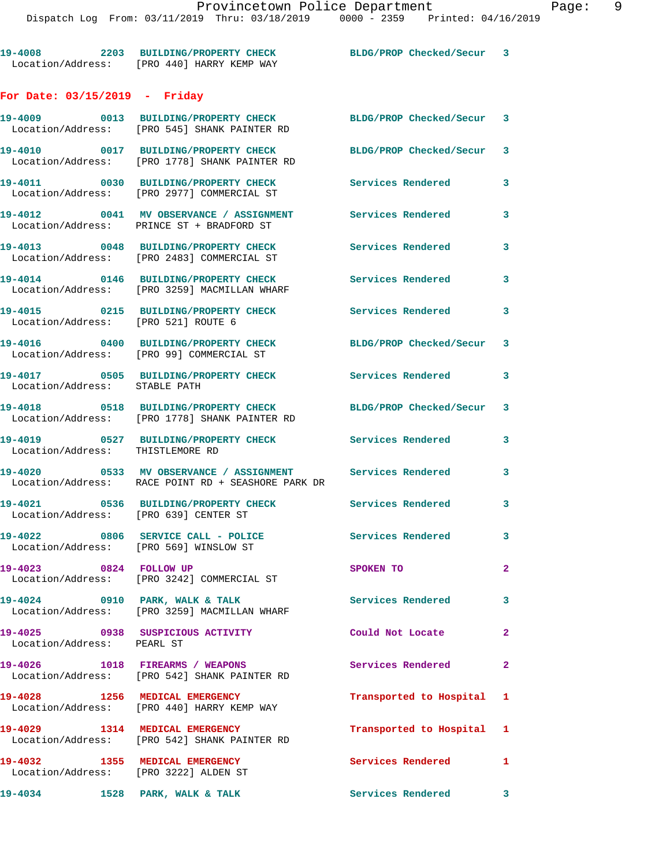**19-4008 2203 BUILDING/PROPERTY CHECK BLDG/PROP Checked/Secur 3** 

Location/Address: [PRO 440] HARRY KEMP WAY

**For Date: 03/15/2019 - Friday 19-4009 0013 BUILDING/PROPERTY CHECK BLDG/PROP Checked/Secur 3**  Location/Address: [PRO 545] SHANK PAINTER RD **19-4010 0017 BUILDING/PROPERTY CHECK BLDG/PROP Checked/Secur 3**  Location/Address: [PRO 1778] SHANK PAINTER RD **19-4011 0030 BUILDING/PROPERTY CHECK Services Rendered 3**  Location/Address: [PRO 2977] COMMERCIAL ST **19-4012 0041 MV OBSERVANCE / ASSIGNMENT Services Rendered 3**  Location/Address: PRINCE ST + BRADFORD ST **19-4013 0048 BUILDING/PROPERTY CHECK Services Rendered 3**  Location/Address: [PRO 2483] COMMERCIAL ST **19-4014 0146 BUILDING/PROPERTY CHECK Services Rendered 3**  Location/Address: [PRO 3259] MACMILLAN WHARF **19-4015 0215 BUILDING/PROPERTY CHECK Services Rendered 3**  Location/Address: [PRO 521] ROUTE 6 **19-4016 0400 BUILDING/PROPERTY CHECK BLDG/PROP Checked/Secur 3**  Location/Address: [PRO 99] COMMERCIAL ST **19-4017 0505 BUILDING/PROPERTY CHECK Services Rendered 3**  Location/Address: STABLE PATH **19-4018 0518 BUILDING/PROPERTY CHECK BLDG/PROP Checked/Secur 3**  Location/Address: [PRO 1778] SHANK PAINTER RD **19-4019 0527 BUILDING/PROPERTY CHECK Services Rendered 3**  Location/Address: THISTLEMORE RD **19-4020 0533 MV OBSERVANCE / ASSIGNMENT Services Rendered 3**  Location/Address: RACE POINT RD + SEASHORE PARK DR **19-4021 0536 BUILDING/PROPERTY CHECK Services Rendered 3**  Location/Address: [PRO 639] CENTER ST 19-4022 0806 SERVICE CALL - POLICE 3 Services Rendered 3 Location/Address: [PRO 569] WINSLOW ST **19-4023 0824 FOLLOW UP SPOKEN TO 2**  Location/Address: [PRO 3242] COMMERCIAL ST 19-4024 0910 PARK, WALK & TALK **Services Rendered** 3 Location/Address: [PRO 3259] MACMILLAN WHARF **19-4025 0938 SUSPICIOUS ACTIVITY Could Not Locate 2**  Location/Address: PEARL ST **19-4026 1018 FIREARMS / WEAPONS Services Rendered 2**  Location/Address: [PRO 542] SHANK PAINTER RD **19-4028 1256 MEDICAL EMERGENCY Transported to Hospital 1**  Location/Address: [PRO 440] HARRY KEMP WAY **19-4029 1314 MEDICAL EMERGENCY Transported to Hospital 1**  Location/Address: [PRO 542] SHANK PAINTER RD

**19-4032 1355 MEDICAL EMERGENCY Services Rendered 1**  Location/Address: [PRO 3222] ALDEN ST

19-4034 1528 PARK, WALK & TALK **Services Rendered** 3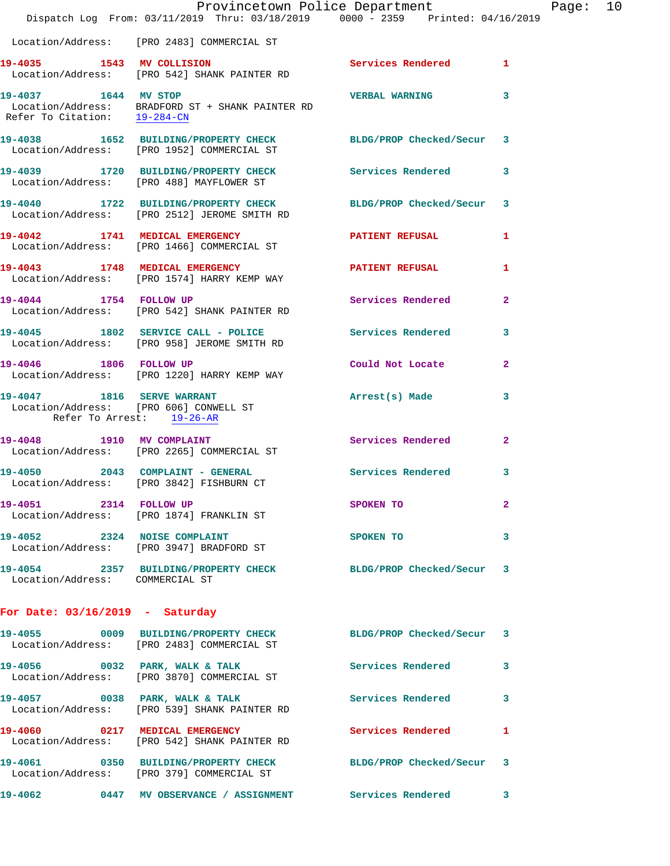|                                   | Provincetown Police Department<br>Dispatch Log From: 03/11/2019 Thru: 03/18/2019 0000 - 2359 Printed: 04/16/2019                    |                          |                |
|-----------------------------------|-------------------------------------------------------------------------------------------------------------------------------------|--------------------------|----------------|
|                                   | Location/Address: [PRO 2483] COMMERCIAL ST                                                                                          |                          |                |
| 19-4035 1543 MV COLLISION         | Location/Address: [PRO 542] SHANK PAINTER RD                                                                                        | Services Rendered        | 1              |
|                                   | 19-4037 1644 MV STOP<br>Location/Address: BRADFORD ST + SHANK PAINTER RD<br>Refer To Citation: $\frac{19-284-CN}{\sqrt{19-284-CN}}$ | <b>VERBAL WARNING</b>    | 3              |
|                                   | 19-4038 1652 BUILDING/PROPERTY CHECK BLDG/PROP Checked/Secur<br>Location/Address: [PRO 1952] COMMERCIAL ST                          |                          | 3              |
|                                   | 19-4039 1720 BUILDING/PROPERTY CHECK<br>Location/Address: [PRO 488] MAYFLOWER ST                                                    | Services Rendered        | 3              |
|                                   | 19-4040 1722 BUILDING/PROPERTY CHECK<br>Location/Address: [PRO 2512] JEROME SMITH RD                                                | BLDG/PROP Checked/Secur  | 3              |
|                                   | 19-4042 1741 MEDICAL EMERGENCY<br>Location/Address: [PRO 1466] COMMERCIAL ST                                                        | <b>PATIENT REFUSAL</b>   | 1              |
|                                   | 19-4043 1748 MEDICAL EMERGENCY<br>Location/Address: [PRO 1574] HARRY KEMP WAY                                                       | <b>PATIENT REFUSAL</b>   | 1              |
| 19-4044 1754 FOLLOW UP            | Location/Address: [PRO 542] SHANK PAINTER RD                                                                                        | Services Rendered        | $\overline{a}$ |
|                                   | 19-4045 1802 SERVICE CALL - POLICE<br>Location/Address: [PRO 958] JEROME SMITH RD                                                   | <b>Services Rendered</b> | 3.             |
| 19-4046 1806 FOLLOW UP            | Location/Address: [PRO 1220] HARRY KEMP WAY                                                                                         | Could Not Locate         | 2              |
|                                   | 19-4047 1816 SERVE WARRANT<br>Location/Address: [PRO 606] CONWELL ST<br>Refer To Arrest: 19-26-AR                                   | Arrest(s) Made           | 3              |
|                                   | 19-4048 1910 MV COMPLAINT<br>Location/Address: [PRO 2265] COMMERCIAL ST                                                             | <b>Services Rendered</b> | $\mathbf{2}$   |
|                                   | 19-4050 2043 COMPLAINT - GENERAL<br>Location/Address: [PRO 3842] FISHBURN CT                                                        | <b>Services Rendered</b> | 3              |
| 19-4051 2314 FOLLOW UP            | Location/Address: [PRO 1874] FRANKLIN ST                                                                                            | SPOKEN TO                | 2              |
|                                   | 19-4052 2324 NOISE COMPLAINT<br>Location/Address: [PRO 3947] BRADFORD ST                                                            | SPOKEN TO                | 3              |
| Location/Address: COMMERCIAL ST   | 19-4054 2357 BUILDING/PROPERTY CHECK BLDG/PROP Checked/Secur                                                                        |                          | 3              |
| For Date: $03/16/2019$ - Saturday |                                                                                                                                     |                          |                |
|                                   | 19-4055 0009 BUILDING/PROPERTY CHECK BLDG/PROP Checked/Secur<br>Location/Address: [PRO 2483] COMMERCIAL ST                          |                          | 3              |
|                                   | 19-4056 0032 PARK, WALK & TALK<br>Location/Address: [PRO 3870] COMMERCIAL ST                                                        | Services Rendered        | 3              |
|                                   | 19-4057 0038 PARK, WALK & TALK<br>Location/Address: [PRO 539] SHANK PAINTER RD                                                      | Services Rendered        | 3              |
|                                   | 19-4060 0217 MEDICAL EMERGENCY<br>Location/Address: [PRO 542] SHANK PAINTER RD                                                      | Services Rendered        | 1              |
|                                   | 19-4061 0350 BUILDING/PROPERTY CHECK<br>Location/Address: [PRO 379] COMMERCIAL ST                                                   | BLDG/PROP Checked/Secur  | 3              |
|                                   | 19-4062 0447 MV OBSERVANCE / ASSIGNMENT Services Rendered                                                                           |                          | 3              |

Page:  $10$ <br>
Page:  $10$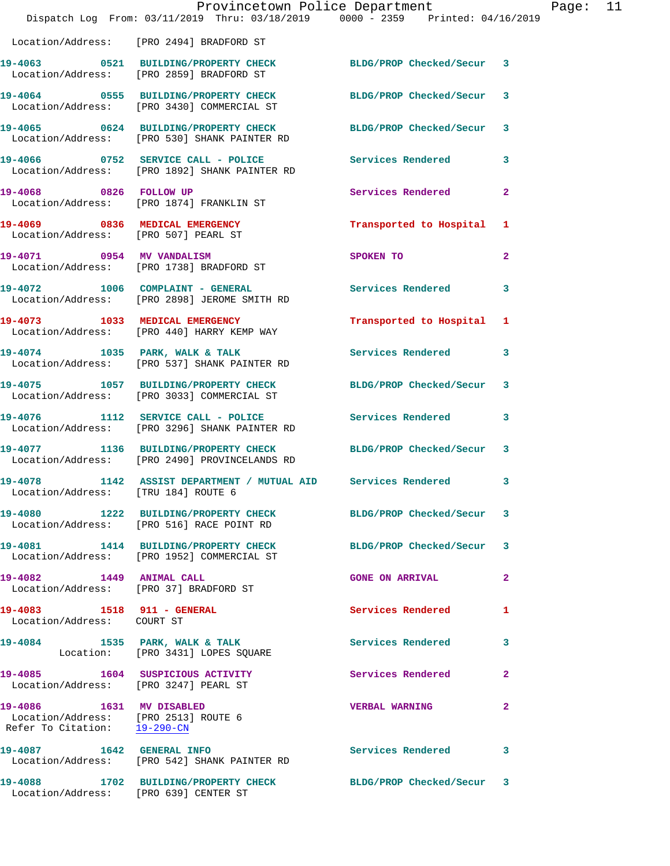|                                                                                                  | Provincetown Police Department<br>Dispatch Log From: 03/11/2019 Thru: 03/18/2019 0000 - 2359 Printed: 04/16/2019 |                          |                |
|--------------------------------------------------------------------------------------------------|------------------------------------------------------------------------------------------------------------------|--------------------------|----------------|
|                                                                                                  | Location/Address: [PRO 2494] BRADFORD ST                                                                         |                          |                |
|                                                                                                  | 19-4063 0521 BUILDING/PROPERTY CHECK<br>Location/Address: [PRO 2859] BRADFORD ST                                 | BLDG/PROP Checked/Secur  | 3              |
|                                                                                                  | 19-4064 0555 BUILDING/PROPERTY CHECK<br>Location/Address: [PRO 3430] COMMERCIAL ST                               | BLDG/PROP Checked/Secur  | 3              |
|                                                                                                  | 19-4065 0624 BUILDING/PROPERTY CHECK<br>Location/Address: [PRO 530] SHANK PAINTER RD                             | BLDG/PROP Checked/Secur  | 3              |
|                                                                                                  | 19-4066 0752 SERVICE CALL - POLICE<br>Location/Address: [PRO 1892] SHANK PAINTER RD                              | Services Rendered        | 3              |
| 19-4068 0826 FOLLOW UP                                                                           | Location/Address: [PRO 1874] FRANKLIN ST                                                                         | Services Rendered        | $\overline{a}$ |
| 19-4069 0836 MEDICAL EMERGENCY<br>Location/Address: [PRO 507] PEARL ST                           |                                                                                                                  | Transported to Hospital  | 1              |
| 19-4071 0954 MV VANDALISM                                                                        | Location/Address: [PRO 1738] BRADFORD ST                                                                         | SPOKEN TO                | $\overline{a}$ |
|                                                                                                  | 19-4072 1006 COMPLAINT - GENERAL<br>Location/Address: [PRO 2898] JEROME SMITH RD                                 | <b>Services Rendered</b> | 3              |
|                                                                                                  | 19-4073 1033 MEDICAL EMERGENCY<br>Location/Address: [PRO 440] HARRY KEMP WAY                                     | Transported to Hospital  | 1              |
|                                                                                                  | 19-4074 1035 PARK, WALK & TALK<br>Location/Address: [PRO 537] SHANK PAINTER RD                                   | Services Rendered        | 3              |
|                                                                                                  | 19-4075 1057 BUILDING/PROPERTY CHECK<br>Location/Address: [PRO 3033] COMMERCIAL ST                               | BLDG/PROP Checked/Secur  | 3              |
|                                                                                                  | 19-4076 1112 SERVICE CALL - POLICE<br>Location/Address: [PRO 3296] SHANK PAINTER RD                              | Services Rendered        | 3              |
|                                                                                                  | 19-4077 1136 BUILDING/PROPERTY CHECK<br>Location/Address: [PRO 2490] PROVINCELANDS RD                            | BLDG/PROP Checked/Secur  | 3              |
| Location/Address: [TRU 184] ROUTE 6                                                              | 19-4078 1142 ASSIST DEPARTMENT / MUTUAL AID Services Rendered                                                    |                          | 3              |
|                                                                                                  | 19-4080 1222 BUILDING/PROPERTY CHECK BLDG/PROP Checked/Secur<br>Location/Address: [PRO 516] RACE POINT RD        |                          | 3              |
|                                                                                                  | 19-4081 1414 BUILDING/PROPERTY CHECK<br>Location/Address: [PRO 1952] COMMERCIAL ST                               | BLDG/PROP Checked/Secur  | 3              |
| 19-4082 1449 ANIMAL CALL                                                                         | Location/Address: [PRO 37] BRADFORD ST                                                                           | <b>GONE ON ARRIVAL</b>   | $\overline{a}$ |
| 19-4083 1518 911 - GENERAL<br>Location/Address: COURT ST                                         |                                                                                                                  | <b>Services Rendered</b> | 1              |
|                                                                                                  | 19-4084 1535 PARK, WALK & TALK<br>Location: [PRO 3431] LOPES SQUARE                                              | Services Rendered        | 3              |
| Location/Address: [PRO 3247] PEARL ST                                                            | 19-4085 1604 SUSPICIOUS ACTIVITY                                                                                 | <b>Services Rendered</b> | $\mathbf{2}$   |
| 19-4086 1631 MV DISABLED<br>Location/Address: [PRO 2513] ROUTE 6<br>Refer To Citation: 19-290-CN |                                                                                                                  | <b>VERBAL WARNING</b>    | 2              |
|                                                                                                  | 19-4087 1642 GENERAL INFO<br>Location/Address: [PRO 542] SHANK PAINTER RD                                        | <b>Services Rendered</b> | 3              |
| Location/Address: [PRO 639] CENTER ST                                                            | 19-4088 1702 BUILDING/PROPERTY CHECK                                                                             | BLDG/PROP Checked/Secur  | 3              |

Page: 11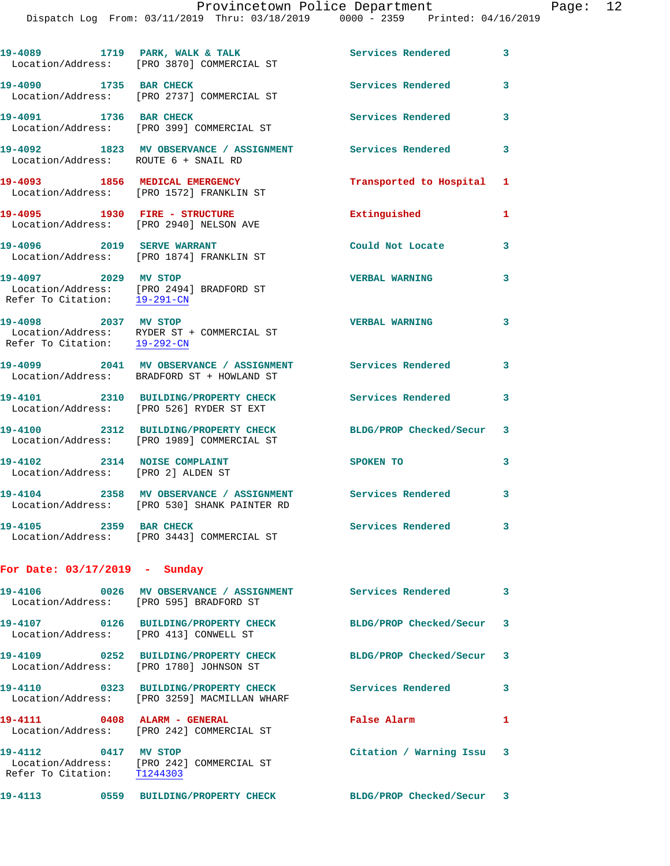Dispatch Log From: 03/11/2019 Thru: 03/18/2019 0000 - 2359 Printed: 04/16/2019

19-4089 1719 PARK, WALK & TALK **Services Rendered** 3 Location/Address: [PRO 3870] COMMERCIAL ST **19-4090 1735 BAR CHECK Services Rendered 3**  Location/Address: [PRO 2737] COMMERCIAL ST **19-4091 1736 BAR CHECK Services Rendered 3**  Location/Address: [PRO 399] COMMERCIAL ST **19-4092 1823 MV OBSERVANCE / ASSIGNMENT Services Rendered 3**  Location/Address: ROUTE 6 + SNAIL RD **19-4093 1856 MEDICAL EMERGENCY Transported to Hospital 1**  Location/Address: [PRO 1572] FRANKLIN ST **19-4095 1930 FIRE - STRUCTURE Extinguished 1**  Location/Address: [PRO 2940] NELSON AVE **19-4096 2019 SERVE WARRANT Could Not Locate 3**  Location/Address: [PRO 1874] FRANKLIN ST **19-4097 2029 MV STOP VERBAL WARNING 3**  Location/Address: [PRO 2494] BRADFORD ST Refer To Citation: 19-291-CN **19-4098 2037 MV STOP VERBAL WARNING 3**  Location/Address: RYDER ST + COMMERCIAL ST Refer To Citation: 19-292-CN **19-4099 2041 MV OBSERVANCE / ASSIGNMENT Services Rendered 3**  Location/Address: BRADFORD ST + HOWLAND ST **19-4101 2310 BUILDING/PROPERTY CHECK Services Rendered 3**  Location/Address: [PRO 526] RYDER ST EXT **19-4100 2312 BUILDING/PROPERTY CHECK BLDG/PROP Checked/Secur 3**  Location/Address: [PRO 1989] COMMERCIAL ST 19-4102 2314 NOISE COMPLAINT SPOKEN TO 3 Location/Address: [PRO 2] ALDEN ST **19-4104 2358 MV OBSERVANCE / ASSIGNMENT Services Rendered 3**  Location/Address: [PRO 530] SHANK PAINTER RD **19-4105 2359 BAR CHECK Services Rendered 3**  Location/Address: [PRO 3443] COMMERCIAL ST **For Date: 03/17/2019 - Sunday 19-4106 0026 MV OBSERVANCE / ASSIGNMENT Services Rendered 3**  Location/Address: [PRO 595] BRADFORD ST **19-4107 0126 BUILDING/PROPERTY CHECK BLDG/PROP Checked/Secur 3**  Location/Address: [PRO 413] CONWELL ST **19-4109 0252 BUILDING/PROPERTY CHECK BLDG/PROP Checked/Secur 3**  Location/Address: [PRO 1780] JOHNSON ST **19-4110 0323 BUILDING/PROPERTY CHECK Services Rendered 3**  Location/Address: [PRO 3259] MACMILLAN WHARF **19-4111 0408 ALARM - GENERAL False Alarm 1**  Location/Address: [PRO 242] COMMERCIAL ST **19-4112 0417 MV STOP Citation / Warning Issu 3**  Location/Address: [PRO 242] COMMERCIAL ST<br>Refer To Citation: T1244303 Refer To Citation: **19-4113 0559 BUILDING/PROPERTY CHECK BLDG/PROP Checked/Secur 3**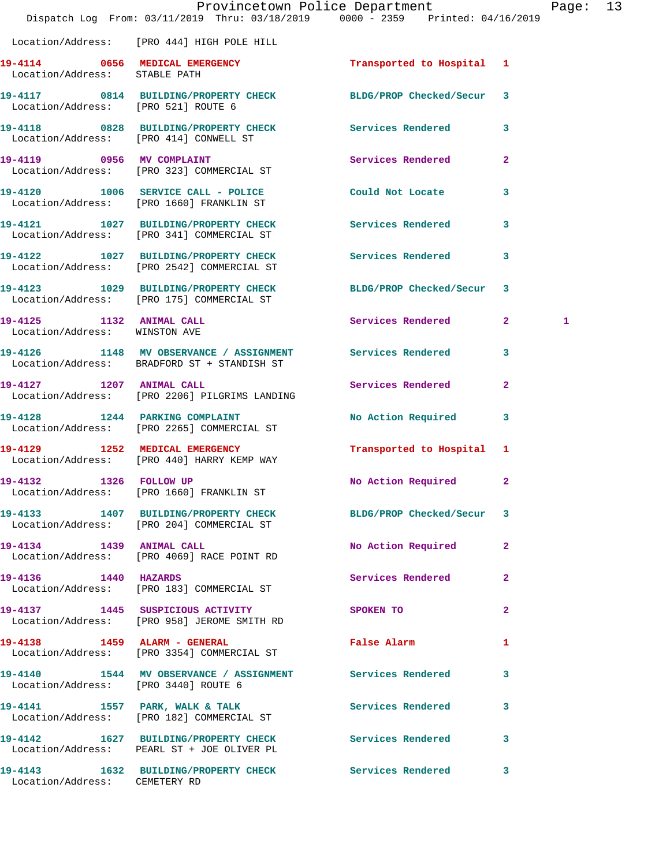|                                                           | Dispatch Log From: 03/11/2019 Thru: 03/18/2019 0000 - 2359 Printed: 04/16/2019                              | Provincetown Police Department |              | Page: 13     |  |
|-----------------------------------------------------------|-------------------------------------------------------------------------------------------------------------|--------------------------------|--------------|--------------|--|
|                                                           | Location/Address: [PRO 444] HIGH POLE HILL                                                                  |                                |              |              |  |
| Location/Address: STABLE PATH                             | 19-4114 0656 MEDICAL EMERGENCY Transported to Hospital 1                                                    |                                |              |              |  |
| Location/Address: [PRO 521] ROUTE 6                       | 19-4117 0814 BUILDING/PROPERTY CHECK BLDG/PROP Checked/Secur 3                                              |                                |              |              |  |
|                                                           | 19-4118 0828 BUILDING/PROPERTY CHECK Services Rendered 3<br>Location/Address: [PRO 414] CONWELL ST          |                                |              |              |  |
|                                                           | 19-4119 0956 MV COMPLAINT<br>Location/Address: [PRO 323] COMMERCIAL ST                                      | Services Rendered 2            |              |              |  |
|                                                           | 19-4120 1006 SERVICE CALL - POLICE COULD Not Locate<br>Location/Address: [PRO 1660] FRANKLIN ST             |                                | $\mathbf{3}$ |              |  |
|                                                           | 19-4121 1027 BUILDING/PROPERTY CHECK Services Rendered 3<br>Location/Address: [PRO 341] COMMERCIAL ST       |                                |              |              |  |
|                                                           | 19-4122 1027 BUILDING/PROPERTY CHECK Services Rendered<br>Location/Address: [PRO 2542] COMMERCIAL ST        |                                | $\mathbf{3}$ |              |  |
|                                                           | 19-4123 1029 BUILDING/PROPERTY CHECK BLDG/PROP Checked/Secur 3<br>Location/Address: [PRO 175] COMMERCIAL ST |                                |              |              |  |
| 19-4125 1132 ANIMAL CALL<br>Location/Address: WINSTON AVE |                                                                                                             | Services Rendered 2            |              | $\mathbf{1}$ |  |
|                                                           | 19-4126 1148 MV OBSERVANCE / ASSIGNMENT Services Rendered 3<br>Location/Address: BRADFORD ST + STANDISH ST  |                                |              |              |  |
|                                                           | 19-4127 1207 ANIMAL CALL<br>Location/Address: [PRO 2206] PILGRIMS LANDING                                   | Services Rendered 2            |              |              |  |
|                                                           | 19-4128 1244 PARKING COMPLAINT<br>Location/Address: [PRO 2265] COMMERCIAL ST                                | No Action Required 3           |              |              |  |
|                                                           | 19-4129 1252 MEDICAL EMERGENCY<br>Location/Address: [PRO 440] HARRY KEMP WAY                                | Transported to Hospital 1      |              |              |  |
| 19-4132 1326 FOLLOW UP                                    | Location/Address: [PRO 1660] FRANKLIN ST                                                                    | No Action Required 2           |              |              |  |
|                                                           | 19-4133 1407 BUILDING/PROPERTY CHECK BLDG/PROP Checked/Secur 3<br>Location/Address: [PRO 204] COMMERCIAL ST |                                |              |              |  |
| 19-4134 1439 ANIMAL CALL                                  | Location/Address: [PRO 4069] RACE POINT RD                                                                  | No Action Required 2           |              |              |  |
| 19-4136 1440 HAZARDS                                      | Location/Address: [PRO 183] COMMERCIAL ST                                                                   | Services Rendered              | $\mathbf{2}$ |              |  |
|                                                           | 19-4137 1445 SUSPICIOUS ACTIVITY<br>Location/Address: [PRO 958] JEROME SMITH RD                             | SPOKEN TO                      | $\mathbf{2}$ |              |  |
|                                                           | 19-4138 1459 ALARM - GENERAL<br>Location/Address: [PRO 3354] COMMERCIAL ST                                  | False Alarm                    | 1            |              |  |
| Location/Address: [PRO 3440] ROUTE 6                      | 19-4140 1544 MV OBSERVANCE / ASSIGNMENT Services Rendered                                                   |                                | 3            |              |  |
|                                                           | 19-4141 1557 PARK, WALK & TALK<br>Location/Address: [PRO 182] COMMERCIAL ST                                 | Services Rendered 3            |              |              |  |
|                                                           | 19-4142 1627 BUILDING/PROPERTY CHECK Services Rendered<br>Location/Address: PEARL ST + JOE OLIVER PL        |                                | 3            |              |  |
| Location/Address: CEMETERY RD                             | 19-4143 1632 BUILDING/PROPERTY CHECK Services Rendered 3                                                    |                                |              |              |  |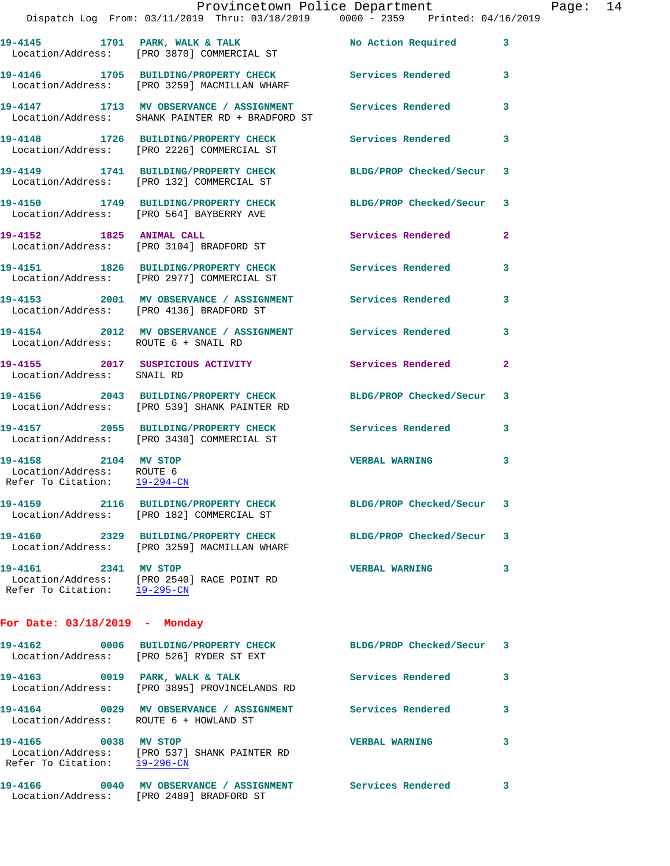|                                                                                   | Provincetown Police Department<br>Dispatch Log From: 03/11/2019 Thru: 03/18/2019 0000 - 2359 Printed: 04/16/2019 |                          |              |
|-----------------------------------------------------------------------------------|------------------------------------------------------------------------------------------------------------------|--------------------------|--------------|
|                                                                                   |                                                                                                                  |                          | 3            |
|                                                                                   | 19-4146 1705 BUILDING/PROPERTY CHECK Services Rendered<br>Location/Address: [PRO 3259] MACMILLAN WHARF           |                          | 3            |
|                                                                                   | 19-4147 1713 MV OBSERVANCE / ASSIGNMENT<br>Location/Address: SHANK PAINTER RD + BRADFORD ST                      | <b>Services Rendered</b> | 3            |
|                                                                                   | 19-4148 1726 BUILDING/PROPERTY CHECK<br>Location/Address: [PRO 2226] COMMERCIAL ST                               | <b>Services Rendered</b> | 3            |
|                                                                                   | 19-4149 1741 BUILDING/PROPERTY CHECK BLDG/PROP Checked/Secur<br>Location/Address: [PRO 132] COMMERCIAL ST        |                          | 3            |
|                                                                                   | 19-4150 1749 BUILDING/PROPERTY CHECK BLDG/PROP Checked/Secur<br>Location/Address: [PRO 564] BAYBERRY AVE         |                          | 3            |
| 19-4152 1825 ANIMAL CALL                                                          | Location/Address: [PRO 3104] BRADFORD ST                                                                         | <b>Services Rendered</b> | $\mathbf{2}$ |
|                                                                                   | 19-4151 1826 BUILDING/PROPERTY CHECK Services Rendered<br>Location/Address: [PRO 2977] COMMERCIAL ST             |                          | 3            |
|                                                                                   | 19-4153 2001 MV OBSERVANCE / ASSIGNMENT Services Rendered<br>Location/Address: [PRO 4136] BRADFORD ST            |                          | 3            |
| Location/Address: ROUTE 6 + SNAIL RD                                              | 19-4154 2012 MV OBSERVANCE / ASSIGNMENT Services Rendered                                                        |                          | 3            |
| Location/Address: SNAIL RD                                                        | 19-4155 2017 SUSPICIOUS ACTIVITY                                                                                 | Services Rendered        | $\mathbf{2}$ |
|                                                                                   | 19-4156 2043 BUILDING/PROPERTY CHECK BLDG/PROP Checked/Secur<br>Location/Address: [PRO 539] SHANK PAINTER RD     |                          | 3            |
|                                                                                   | 19-4157 2055 BUILDING/PROPERTY CHECK Services Rendered<br>Location/Address: [PRO 3430] COMMERCIAL ST             |                          | 3            |
| 19-4158 2104 MV STOP<br>Location/Address: ROUTE 6<br>Refer To Citation: 19-294-CN |                                                                                                                  | <b>VERBAL WARNING</b>    | 3            |
|                                                                                   | 19-4159 2116 BUILDING/PROPERTY CHECK<br>Location/Address: [PRO 182] COMMERCIAL ST                                | BLDG/PROP Checked/Secur  | 3            |
|                                                                                   | 19-4160 2329 BUILDING/PROPERTY CHECK<br>Location/Address: [PRO 3259] MACMILLAN WHARF                             | BLDG/PROP Checked/Secur  | 3            |
| 19-4161 2341 MV STOP                                                              | Location/Address: [PRO 2540] RACE POINT RD<br>Refer To Citation: 19-295-CN                                       | <b>VERBAL WARNING</b>    | 3            |
| For Date: 03/18/2019 - Monday                                                     |                                                                                                                  |                          |              |
|                                                                                   | Location/Address: [PRO 526] RYDER ST EXT                                                                         | BLDG/PROP Checked/Secur  | 3            |
|                                                                                   | 19-4163 0019 PARK, WALK & TALK<br>Location/Address: [PRO 3895] PROVINCELANDS RD                                  | <b>Services Rendered</b> | 3            |
| Location/Address: ROUTE 6 + HOWLAND ST                                            | 19-4164 0029 MV OBSERVANCE / ASSIGNMENT                                                                          | <b>Services Rendered</b> | 3            |
| 19-4165 0038 MV STOP                                                              | Location/Address: [PRO 537] SHANK PAINTER RD                                                                     | <b>VERBAL WARNING</b>    | 3            |

**19-4166 0040 MV OBSERVANCE / ASSIGNMENT Services Rendered 3**  Location/Address: [PRO 2489] BRADFORD ST

Refer To Citation: 19-296-CN

Page:  $14$ <br>019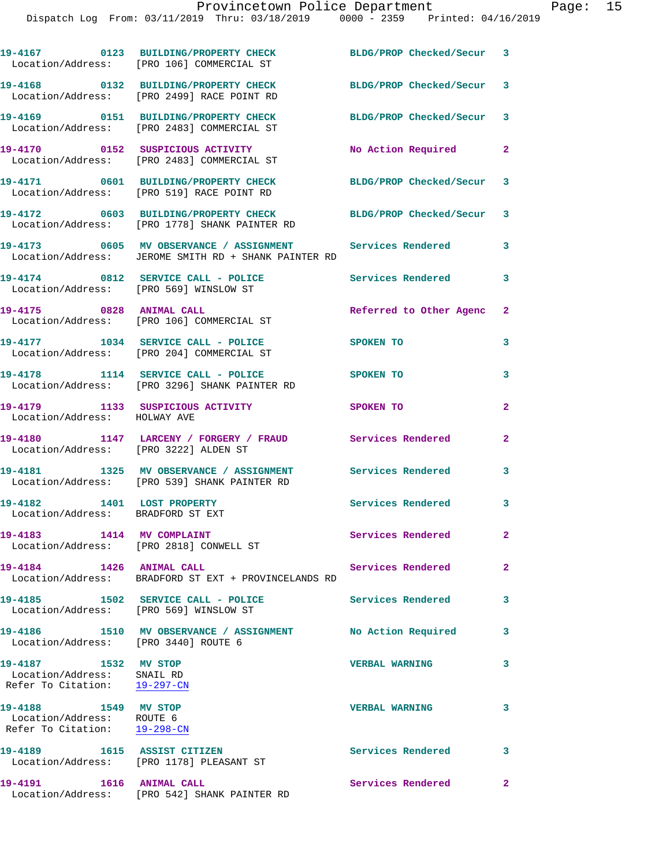|                                                                                    | 19-4167 0123 BUILDING/PROPERTY CHECK<br>Location/Address: [PRO 106] COMMERCIAL ST                                 | BLDG/PROP Checked/Secur 3 |                |
|------------------------------------------------------------------------------------|-------------------------------------------------------------------------------------------------------------------|---------------------------|----------------|
|                                                                                    | 19-4168 0132 BUILDING/PROPERTY CHECK<br>Location/Address: [PRO 2499] RACE POINT RD                                | BLDG/PROP Checked/Secur 3 |                |
|                                                                                    | 19-4169 0151 BUILDING/PROPERTY CHECK<br>Location/Address: [PRO 2483] COMMERCIAL ST                                | BLDG/PROP Checked/Secur 3 |                |
|                                                                                    | 19-4170 0152 SUSPICIOUS ACTIVITY<br>Location/Address: [PRO 2483] COMMERCIAL ST                                    | No Action Required        | $\mathbf{2}$   |
|                                                                                    | 19-4171 0601 BUILDING/PROPERTY CHECK<br>Location/Address: [PRO 519] RACE POINT RD                                 | BLDG/PROP Checked/Secur 3 |                |
|                                                                                    | 19-4172 0603 BUILDING/PROPERTY CHECK BLDG/PROP Checked/Secur 3<br>Location/Address: [PRO 1778] SHANK PAINTER RD   |                           |                |
|                                                                                    | 19-4173 0605 MV OBSERVANCE / ASSIGNMENT Services Rendered<br>Location/Address: JEROME SMITH RD + SHANK PAINTER RD |                           | 3              |
|                                                                                    | 19-4174 0812 SERVICE CALL - POLICE<br>Location/Address: [PRO 569] WINSLOW ST                                      | Services Rendered 3       |                |
|                                                                                    | 19-4175 0828 ANIMAL CALL<br>Location/Address: [PRO 106] COMMERCIAL ST                                             | Referred to Other Agenc 2 |                |
|                                                                                    | 19-4177 1034 SERVICE CALL - POLICE<br>Location/Address: [PRO 204] COMMERCIAL ST                                   | SPOKEN TO                 | 3              |
|                                                                                    | 19-4178 1114 SERVICE CALL - POLICE<br>Location/Address: [PRO 3296] SHANK PAINTER RD                               | <b>SPOKEN TO</b>          | 3              |
| Location/Address: HOLWAY AVE                                                       | 19-4179 1133 SUSPICIOUS ACTIVITY                                                                                  | SPOKEN TO                 | $\mathbf{2}$   |
| Location/Address: [PRO 3222] ALDEN ST                                              | 19-4180 1147 LARCENY / FORGERY / FRAUD Services Rendered                                                          |                           | $\overline{a}$ |
|                                                                                    | 19-4181 1325 MV OBSERVANCE / ASSIGNMENT Services Rendered<br>Location/Address: [PRO 539] SHANK PAINTER RD         |                           | 3              |
| 19-4182 1401 LOST PROPERTY<br>Location/Address: BRADFORD ST EXT                    |                                                                                                                   | Services Rendered 3       |                |
|                                                                                    | Location/Address: [PRO 2818] CONWELL ST                                                                           | Services Rendered         |                |
| 19-4184 1426 ANIMAL CALL                                                           | Location/Address: BRADFORD ST EXT + PROVINCELANDS RD                                                              | Services Rendered         | $\mathbf{2}$   |
| Location/Address: [PRO 569] WINSLOW ST                                             | 19-4185 1502 SERVICE CALL - POLICE                                                                                | Services Rendered         | 3              |
| Location/Address: [PRO 3440] ROUTE 6                                               | 19-4186 1510 MV OBSERVANCE / ASSIGNMENT No Action Required                                                        |                           | 3              |
| 19-4187 1532 MV STOP<br>Location/Address: SNAIL RD<br>Refer To Citation: 19-297-CN |                                                                                                                   | <b>VERBAL WARNING</b>     | 3              |
| 19-4188 1549 MV STOP<br>Location/Address: ROUTE 6<br>Refer To Citation: 19-298-CN  |                                                                                                                   | <b>VERBAL WARNING</b>     | 3              |
|                                                                                    | 19-4189 1615 ASSIST CITIZEN<br>Location/Address: [PRO 1178] PLEASANT ST                                           | Services Rendered         | 3              |
| 19-4191    1616    ANIMAL CALL                                                     |                                                                                                                   | Services Rendered         | $\mathbf{2}$   |

Location/Address: [PRO 542] SHANK PAINTER RD